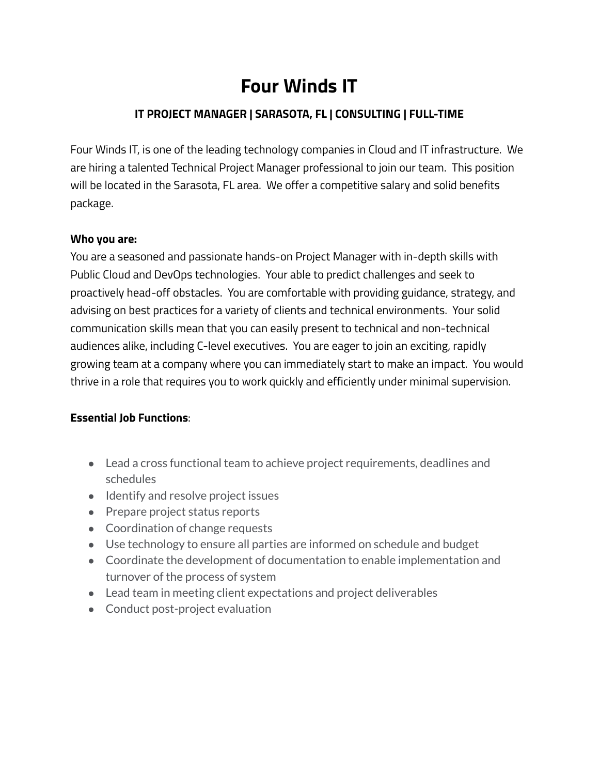# **Four Winds IT**

## **IT PROJECT MANAGER | SARASOTA, FL | CONSULTING | FULL-TIME**

Four Winds IT, is one of the leading technology companies in Cloud and IT infrastructure. We are hiring a talented Technical Project Manager professional to join our team. This position will be located in the Sarasota, FL area. We offer a competitive salary and solid benefits package.

#### **Who you are:**

You are a seasoned and passionate hands-on Project Manager with in-depth skills with Public Cloud and DevOps technologies. Your able to predict challenges and seek to proactively head-off obstacles. You are comfortable with providing guidance, strategy, and advising on best practices for a variety of clients and technical environments. Your solid communication skills mean that you can easily present to technical and non-technical audiences alike, including C-level executives. You are eager to join an exciting, rapidly growing team at a company where you can immediately start to make an impact. You would thrive in a role that requires you to work quickly and efficiently under minimal supervision.

## **Essential Job Functions**:

- Lead a cross functional team to achieve project requirements, deadlines and schedules
- Identify and resolve project issues
- Prepare project status reports
- Coordination of change requests
- Use technology to ensure all parties are informed on schedule and budget
- Coordinate the development of documentation to enable implementation and turnover of the process of system
- Lead team in meeting client expectations and project deliverables
- Conduct post-project evaluation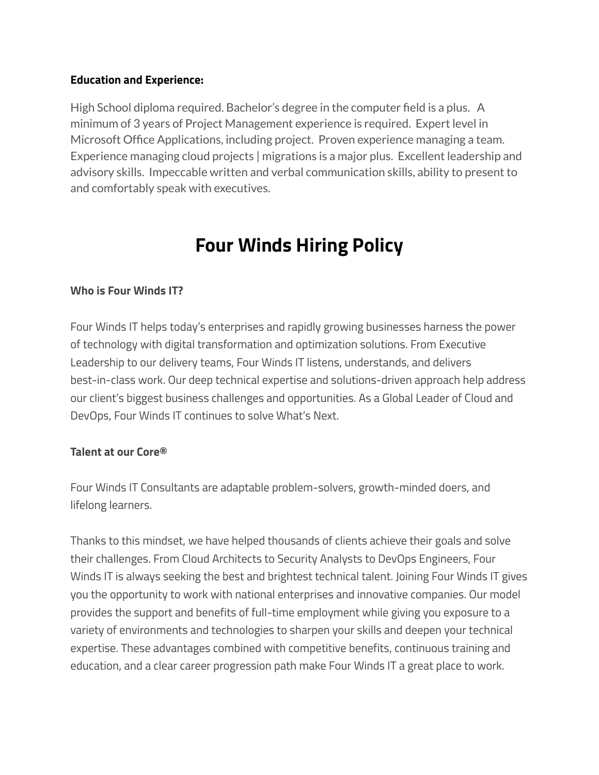#### **Education and Experience:**

High School diploma required. Bachelor's degree in the computer field is a plus. A minimum of 3 years of Project Management experience is required. Expert level in Microsoft Office Applications, including project. Proven experience managing a team. Experience managing cloud projects | migrations is a major plus. Excellent leadership and advisory skills. Impeccable written and verbal communication skills, ability to present to and comfortably speak with executives.

# **Four Winds Hiring Policy**

### **Who is Four Winds IT?**

Four Winds IT helps today's enterprises and rapidly growing businesses harness the power of technology with digital transformation and optimization solutions. From Executive Leadership to our delivery teams, Four Winds IT listens, understands, and delivers best-in-class work. Our deep technical expertise and solutions-driven approach help address our client's biggest business challenges and opportunities. As a Global Leader of Cloud and DevOps, Four Winds IT continues to solve What's Next.

## **Talent at our Core®**

Four Winds IT Consultants are adaptable problem-solvers, growth-minded doers, and lifelong learners.

Thanks to this mindset, we have helped thousands of clients achieve their goals and solve their challenges. From Cloud Architects to Security Analysts to DevOps Engineers, Four Winds IT is always seeking the best and brightest technical talent. Joining Four Winds IT gives you the opportunity to work with national enterprises and innovative companies. Our model provides the support and benefits of full-time employment while giving you exposure to a variety of environments and technologies to sharpen your skills and deepen your technical expertise. These advantages combined with competitive benefits, continuous training and education, and a clear career progression path make Four Winds IT a great place to work.